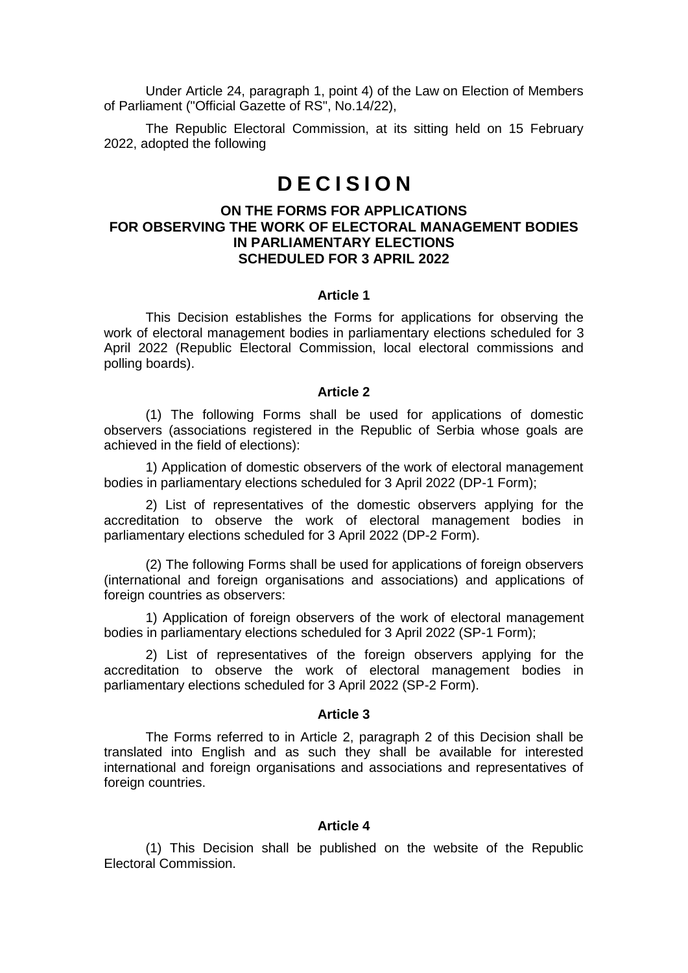Under Article 24, paragraph 1, point 4) of the Law on Election of Members of Parliament ("Official Gazette of RS", No.14/22),

The Republic Electoral Commission, at its sitting held on 15 February 2022, adopted the following

# **D E C I S I O N**

### **ON THE FORMS FOR APPLICATIONS FOR OBSERVING THE WORK OF ELECTORAL MANAGEMENT BODIES IN PARLIAMENTARY ELECTIONS SCHEDULED FOR 3 APRIL 2022**

#### **Article 1**

This Decision establishes the Forms for applications for observing the work of electoral management bodies in parliamentary elections scheduled for 3 April 2022 (Republic Electoral Commission, local electoral commissions and polling boards).

#### **Article 2**

(1) The following Forms shall be used for applications of domestic observers (associations registered in the Republic of Serbia whose goals are achieved in the field of elections):

1) Application of domestic observers of the work of electoral management bodies in parliamentary elections scheduled for 3 April 2022 (DP-1 Form);

2) List of representatives of the domestic observers applying for the accreditation to observe the work of electoral management bodies in parliamentary elections scheduled for 3 April 2022 (DP-2 Form).

(2) The following Forms shall be used for applications of foreign observers (international and foreign organisations and associations) and applications of foreign countries as observers:

1) Application of foreign observers of the work of electoral management bodies in parliamentary elections scheduled for 3 April 2022 (SP-1 Form);

2) List of representatives of the foreign observers applying for the accreditation to observe the work of electoral management bodies in parliamentary elections scheduled for 3 April 2022 (SP-2 Form).

#### **Article 3**

The Forms referred to in Article 2, paragraph 2 of this Decision shall be translated into English and as such they shall be available for interested international and foreign organisations and associations and representatives of foreign countries.

#### **Article 4**

(1) This Decision shall be published on the website of the Republic Electoral Commission.